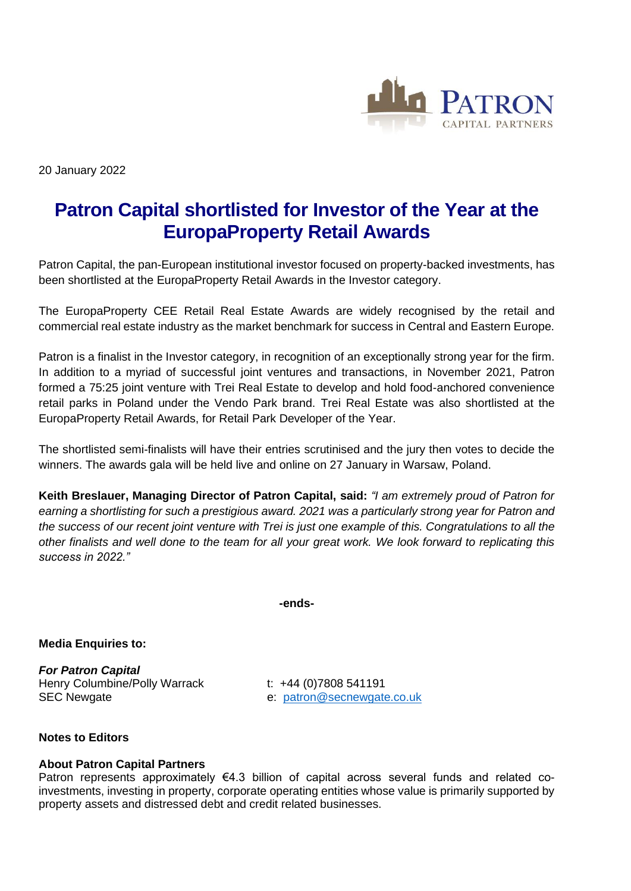

20 January 2022

## **Patron Capital shortlisted for Investor of the Year at the EuropaProperty Retail Awards**

Patron Capital, the pan-European institutional investor focused on property-backed investments, has been shortlisted at the EuropaProperty Retail Awards in the Investor category.

The EuropaProperty CEE Retail Real Estate Awards are widely recognised by the retail and commercial real estate industry as the market benchmark for success in Central and Eastern Europe.

Patron is a finalist in the Investor category, in recognition of an exceptionally strong year for the firm. In addition to a myriad of successful joint ventures and transactions, in November 2021, Patron formed a 75:25 joint venture with Trei Real Estate to develop and hold food-anchored convenience retail parks in Poland under the Vendo Park brand. Trei Real Estate was also shortlisted at the EuropaProperty Retail Awards, for Retail Park Developer of the Year.

The shortlisted semi-finalists will have their entries scrutinised and the jury then votes to decide the winners. The awards gala will be held live and online on 27 January in Warsaw, Poland.

**Keith Breslauer, Managing Director of Patron Capital, said:** *"I am extremely proud of Patron for earning a shortlisting for such a prestigious award. 2021 was a particularly strong year for Patron and the success of our recent joint venture with Trei is just one example of this. Congratulations to all the other finalists and well done to the team for all your great work. We look forward to replicating this success in 2022."*

**-ends-**

**Media Enquiries to:**

*For Patron Capital* Henry Columbine/Polly Warrack t: +44 (0)7808 541191 SEC Newgate e: [patron@secnewgate.co.uk](mailto:patron@secnewgate.co.uk)

## **Notes to Editors**

## **About Patron Capital Partners**

Patron represents approximately  $\epsilon$ 4.3 billion of capital across several funds and related coinvestments, investing in property, corporate operating entities whose value is primarily supported by property assets and distressed debt and credit related businesses.